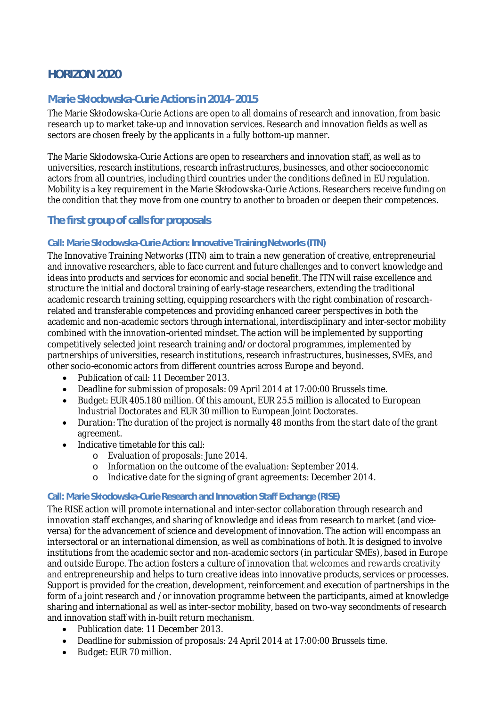# **HORIZON 2020**

## **Marie Skųodowska-Curie Actions in 2014–2015**

The Marie Skłodowska-Curie Actions are open to all domains of research and innovation, from basic research up to market take-up and innovation services. Research and innovation fields as well as sectors are chosen freely by the applicants in a fully bottom-up manner.

The Marie Skłodowska-Curie Actions are open to researchers and innovation staff, as well as to universities, research institutions, research infrastructures, businesses, and other socioeconomic actors from all countries, including third countries under the conditions defined in EU regulation. Mobility is a key requirement in the Marie Skłodowska-Curie Actions. Researchers receive funding on the condition that they move from one country to another to broaden or deepen their competences.

### **The first group of calls for proposals**

#### **Call: Marie Skųodowska-Curie Action: Innovative Training Networks (ITN)**

The Innovative Training Networks (ITN) aim to train a new generation of creative, entrepreneurial and innovative researchers, able to face current and future challenges and to convert knowledge and ideas into products and services for economic and social benefit. The ITN will raise excellence and structure the initial and doctoral training of early-stage researchers, extending the traditional academic research training setting, equipping researchers with the right combination of researchrelated and transferable competences and providing enhanced career perspectives in both the academic and non-academic sectors through international, interdisciplinary and inter-sector mobility combined with the innovation-oriented mindset. The action will be implemented by supporting competitively selected joint research training and/or doctoral programmes, implemented by partnerships of universities, research institutions, research infrastructures, businesses, SMEs, and other socio-economic actors from different countries across Europe and beyond.

- Publication of call: 11 December 2013.
- Deadline for submission of proposals: 09 April 2014 at 17:00:00 Brussels time.
- Budget: EUR 405.180 million. Of this amount, EUR 25.5 million is allocated to European Industrial Doctorates and EUR 30 million to European Joint Doctorates.
- Duration: The duration of the project is normally 48 months from the start date of the grant agreement.
- Indicative timetable for this call:
	- o Evaluation of proposals: June 2014.
	- o Information on the outcome of the evaluation: September 2014.
	- o Indicative date for the signing of grant agreements: December 2014.

#### **Call: Marie Skųodowska-Curie Research and Innovation Staff Exchange (RISE)**

The RISE action will promote international and inter-sector collaboration through research and innovation staff exchanges, and sharing of knowledge and ideas from research to market (and viceversa) for the advancement of science and development of innovation. The action will encompass an intersectoral or an international dimension, as well as combinations of both. It is designed to involve institutions from the academic sector and non-academic sectors (in particular SMEs), based in Europe and outside Europe. The action fosters a culture of innovation that welcomes and rewards creativity and entrepreneurship and helps to turn creative ideas into innovative products, services or processes. Support is provided for the creation, development, reinforcement and execution of partnerships in the form of a joint research and /or innovation programme between the participants, aimed at knowledge sharing and international as well as inter-sector mobility, based on two-way secondments of research and innovation staff with in-built return mechanism.

- Publication date: 11 December 2013.
- Deadline for submission of proposals: 24 April 2014 at 17:00:00 Brussels time.
- Budget: EUR 70 million.